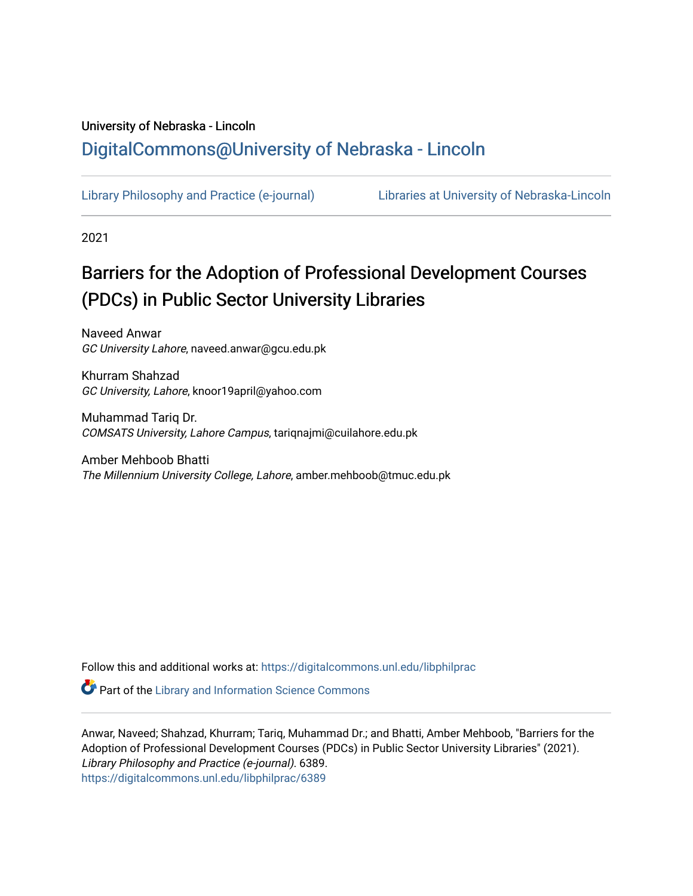## University of Nebraska - Lincoln [DigitalCommons@University of Nebraska - Lincoln](https://digitalcommons.unl.edu/)

[Library Philosophy and Practice \(e-journal\)](https://digitalcommons.unl.edu/libphilprac) [Libraries at University of Nebraska-Lincoln](https://digitalcommons.unl.edu/libraries) 

2021

# Barriers for the Adoption of Professional Development Courses (PDCs) in Public Sector University Libraries

Naveed Anwar GC University Lahore, naveed.anwar@gcu.edu.pk

Khurram Shahzad GC University, Lahore, knoor19april@yahoo.com

Muhammad Tariq Dr. COMSATS University, Lahore Campus, tariqnajmi@cuilahore.edu.pk

Amber Mehboob Bhatti The Millennium University College, Lahore, amber.mehboob@tmuc.edu.pk

Follow this and additional works at: [https://digitalcommons.unl.edu/libphilprac](https://digitalcommons.unl.edu/libphilprac?utm_source=digitalcommons.unl.edu%2Flibphilprac%2F6389&utm_medium=PDF&utm_campaign=PDFCoverPages) 

**Part of the Library and Information Science Commons** 

Anwar, Naveed; Shahzad, Khurram; Tariq, Muhammad Dr.; and Bhatti, Amber Mehboob, "Barriers for the Adoption of Professional Development Courses (PDCs) in Public Sector University Libraries" (2021). Library Philosophy and Practice (e-journal). 6389. [https://digitalcommons.unl.edu/libphilprac/6389](https://digitalcommons.unl.edu/libphilprac/6389?utm_source=digitalcommons.unl.edu%2Flibphilprac%2F6389&utm_medium=PDF&utm_campaign=PDFCoverPages)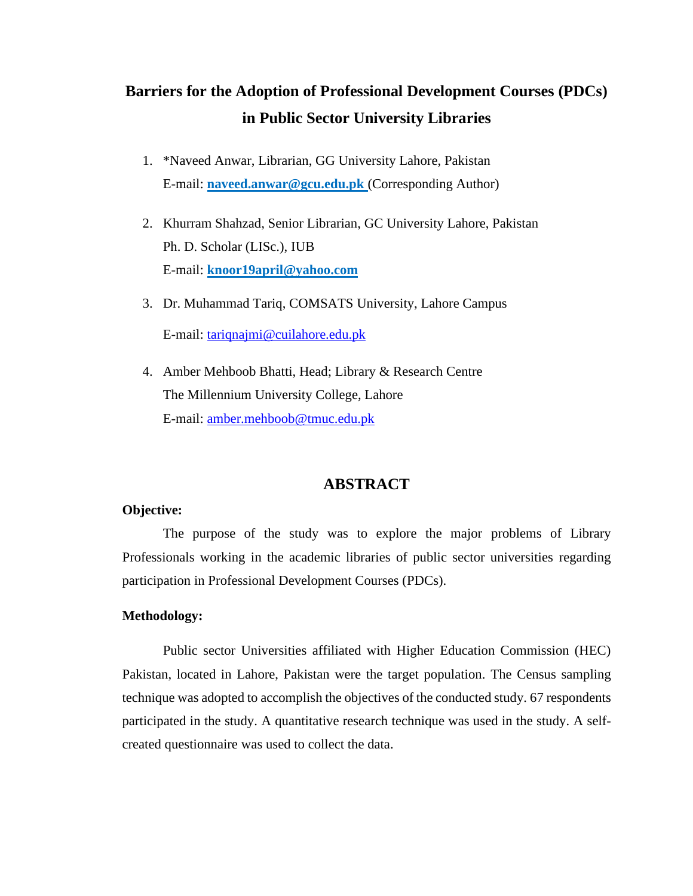## **Barriers for the Adoption of Professional Development Courses (PDCs) in Public Sector University Libraries**

- 1. \*Naveed Anwar, Librarian, GG University Lahore, Pakistan E-mail: **naveed.anwar@gcu.edu.pk** (Corresponding Author)
- 2. Khurram Shahzad, Senior Librarian, GC University Lahore, Pakistan Ph. D. Scholar (LISc.), IUB E-mail: **[knoor19april@yahoo.com](mailto:knoor19april@yahoo.com)**
- 3. Dr. Muhammad Tariq, COMSATS University, Lahore Campus E-mail: [tariqnajmi@cuilahore.edu.pk](mailto:tariqnajmi@cuilahore.edu.pk)
- 4. Amber Mehboob Bhatti, Head; Library & Research Centre The Millennium University College, Lahore E-mail: [amber.mehboob@tmuc.edu.pk](mailto:amber.mehboob@tmuc.edu.pk)

## **ABSTRACT**

#### **Objective:**

The purpose of the study was to explore the major problems of Library Professionals working in the academic libraries of public sector universities regarding participation in Professional Development Courses (PDCs).

#### **Methodology:**

Public sector Universities affiliated with Higher Education Commission (HEC) Pakistan, located in Lahore, Pakistan were the target population. The Census sampling technique was adopted to accomplish the objectives of the conducted study. 67 respondents participated in the study. A quantitative research technique was used in the study. A selfcreated questionnaire was used to collect the data.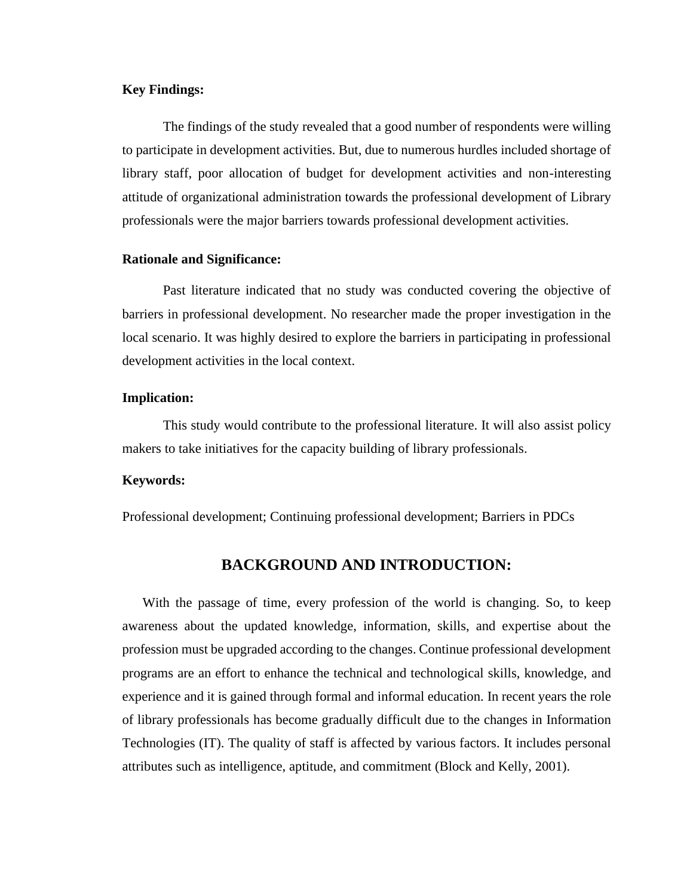#### **Key Findings:**

The findings of the study revealed that a good number of respondents were willing to participate in development activities. But, due to numerous hurdles included shortage of library staff, poor allocation of budget for development activities and non-interesting attitude of organizational administration towards the professional development of Library professionals were the major barriers towards professional development activities.

#### **Rationale and Significance:**

Past literature indicated that no study was conducted covering the objective of barriers in professional development. No researcher made the proper investigation in the local scenario. It was highly desired to explore the barriers in participating in professional development activities in the local context.

#### **Implication:**

This study would contribute to the professional literature. It will also assist policy makers to take initiatives for the capacity building of library professionals.

#### **Keywords:**

Professional development; Continuing professional development; Barriers in PDCs

### **BACKGROUND AND INTRODUCTION:**

 With the passage of time, every profession of the world is changing. So, to keep awareness about the updated knowledge, information, skills, and expertise about the profession must be upgraded according to the changes. Continue professional development programs are an effort to enhance the technical and technological skills, knowledge, and experience and it is gained through formal and informal education. In recent years the role of library professionals has become gradually difficult due to the changes in Information Technologies (IT). The quality of staff is affected by various factors. It includes personal attributes such as intelligence, aptitude, and commitment (Block and Kelly, 2001).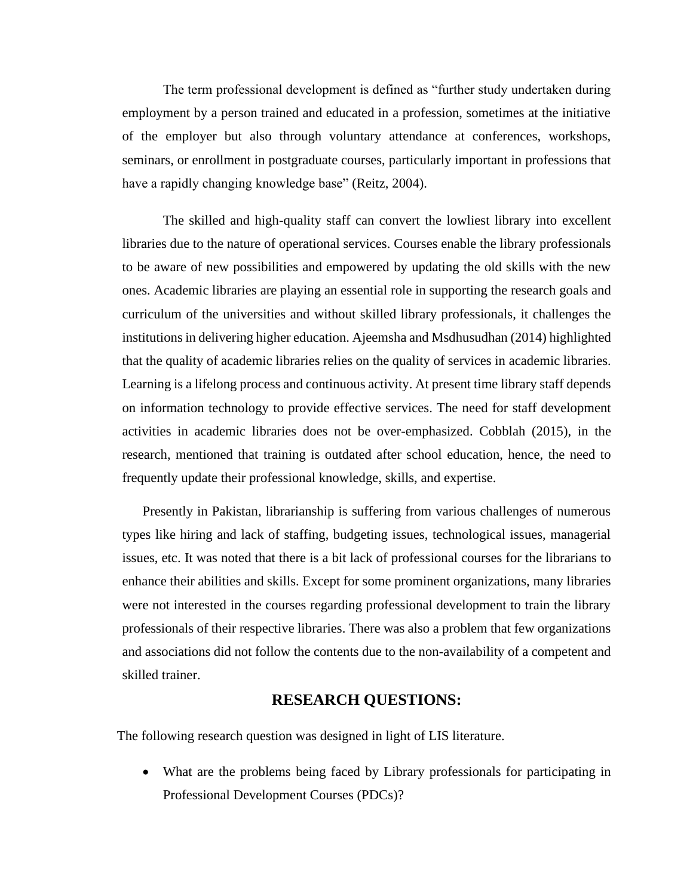The term professional development is defined as "further study undertaken during employment by a person trained and educated in a profession, sometimes at the initiative of the employer but also through voluntary attendance at conferences, workshops, seminars, or enrollment in postgraduate courses, particularly important in professions that have a rapidly changing knowledge base" (Reitz, 2004).

The skilled and high-quality staff can convert the lowliest library into excellent libraries due to the nature of operational services. Courses enable the library professionals to be aware of new possibilities and empowered by updating the old skills with the new ones. Academic libraries are playing an essential role in supporting the research goals and curriculum of the universities and without skilled library professionals, it challenges the institutions in delivering higher education. Ajeemsha and Msdhusudhan (2014) highlighted that the quality of academic libraries relies on the quality of services in academic libraries. Learning is a lifelong process and continuous activity. At present time library staff depends on information technology to provide effective services. The need for staff development activities in academic libraries does not be over-emphasized. Cobblah (2015), in the research, mentioned that training is outdated after school education, hence, the need to frequently update their professional knowledge, skills, and expertise.

 Presently in Pakistan, librarianship is suffering from various challenges of numerous types like hiring and lack of staffing, budgeting issues, technological issues, managerial issues, etc. It was noted that there is a bit lack of professional courses for the librarians to enhance their abilities and skills. Except for some prominent organizations, many libraries were not interested in the courses regarding professional development to train the library professionals of their respective libraries. There was also a problem that few organizations and associations did not follow the contents due to the non-availability of a competent and skilled trainer.

#### **RESEARCH QUESTIONS:**

The following research question was designed in light of LIS literature.

• What are the problems being faced by Library professionals for participating in Professional Development Courses (PDCs)?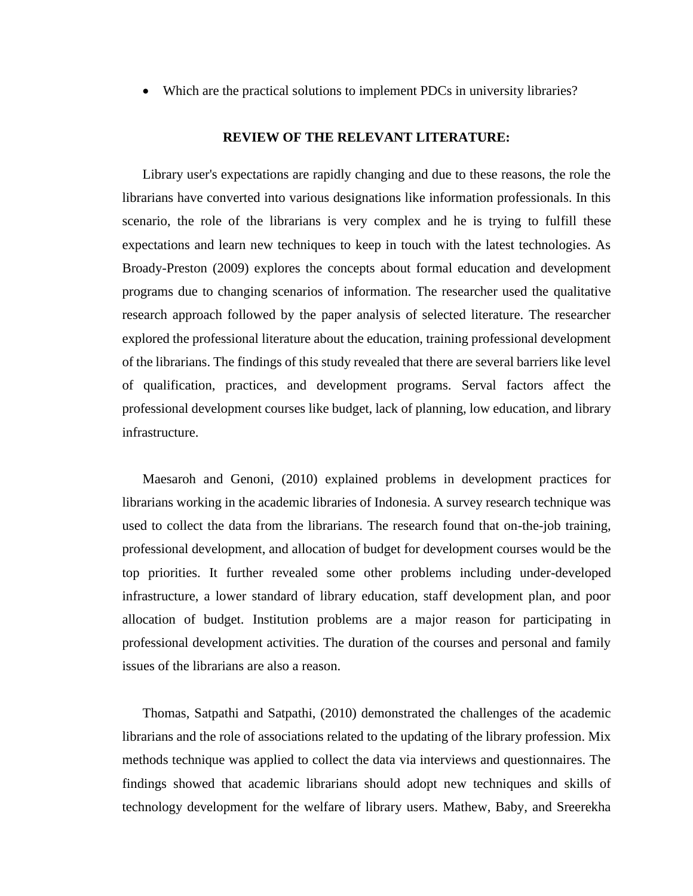• Which are the practical solutions to implement PDCs in university libraries?

#### **REVIEW OF THE RELEVANT LITERATURE:**

Library user's expectations are rapidly changing and due to these reasons, the role the librarians have converted into various designations like information professionals. In this scenario, the role of the librarians is very complex and he is trying to fulfill these expectations and learn new techniques to keep in touch with the latest technologies. As Broady-Preston (2009) explores the concepts about formal education and development programs due to changing scenarios of information. The researcher used the qualitative research approach followed by the paper analysis of selected literature. The researcher explored the professional literature about the education, training professional development of the librarians. The findings of this study revealed that there are several barriers like level of qualification, practices, and development programs. Serval factors affect the professional development courses like budget, lack of planning, low education, and library infrastructure.

Maesaroh and Genoni, (2010) explained problems in development practices for librarians working in the academic libraries of Indonesia. A survey research technique was used to collect the data from the librarians. The research found that on-the-job training, professional development, and allocation of budget for development courses would be the top priorities. It further revealed some other problems including under-developed infrastructure, a lower standard of library education, staff development plan, and poor allocation of budget. Institution problems are a major reason for participating in professional development activities. The duration of the courses and personal and family issues of the librarians are also a reason.

Thomas, Satpathi and Satpathi, (2010) demonstrated the challenges of the academic librarians and the role of associations related to the updating of the library profession. Mix methods technique was applied to collect the data via interviews and questionnaires. The findings showed that academic librarians should adopt new techniques and skills of technology development for the welfare of library users. Mathew, Baby, and Sreerekha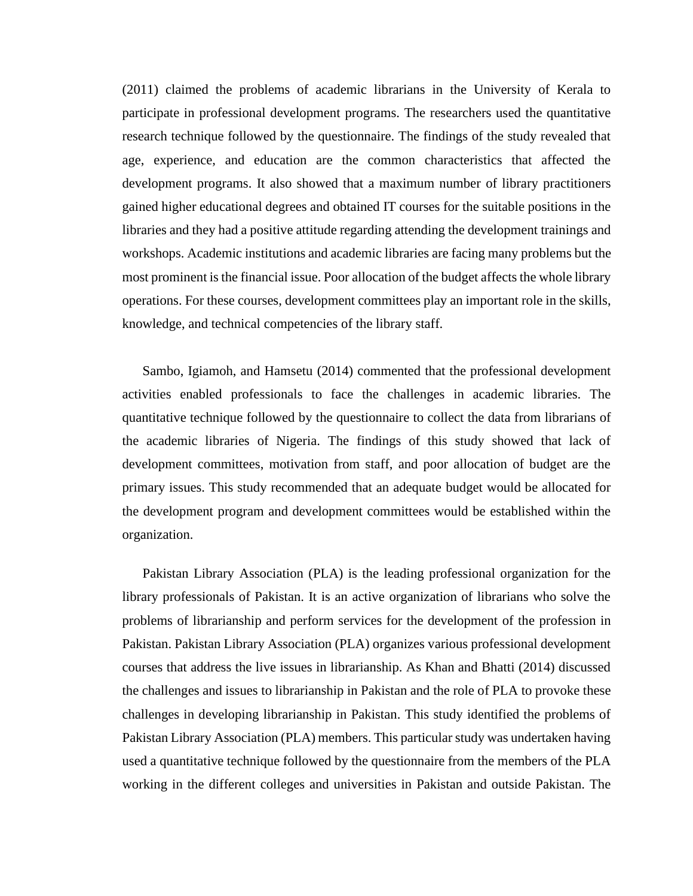(2011) claimed the problems of academic librarians in the University of Kerala to participate in professional development programs. The researchers used the quantitative research technique followed by the questionnaire. The findings of the study revealed that age, experience, and education are the common characteristics that affected the development programs. It also showed that a maximum number of library practitioners gained higher educational degrees and obtained IT courses for the suitable positions in the libraries and they had a positive attitude regarding attending the development trainings and workshops. Academic institutions and academic libraries are facing many problems but the most prominent is the financial issue. Poor allocation of the budget affects the whole library operations. For these courses, development committees play an important role in the skills, knowledge, and technical competencies of the library staff.

Sambo, Igiamoh, and Hamsetu (2014) commented that the professional development activities enabled professionals to face the challenges in academic libraries. The quantitative technique followed by the questionnaire to collect the data from librarians of the academic libraries of Nigeria. The findings of this study showed that lack of development committees, motivation from staff, and poor allocation of budget are the primary issues. This study recommended that an adequate budget would be allocated for the development program and development committees would be established within the organization.

Pakistan Library Association (PLA) is the leading professional organization for the library professionals of Pakistan. It is an active organization of librarians who solve the problems of librarianship and perform services for the development of the profession in Pakistan. Pakistan Library Association (PLA) organizes various professional development courses that address the live issues in librarianship. As Khan and Bhatti (2014) discussed the challenges and issues to librarianship in Pakistan and the role of PLA to provoke these challenges in developing librarianship in Pakistan. This study identified the problems of Pakistan Library Association (PLA) members. This particular study was undertaken having used a quantitative technique followed by the questionnaire from the members of the PLA working in the different colleges and universities in Pakistan and outside Pakistan. The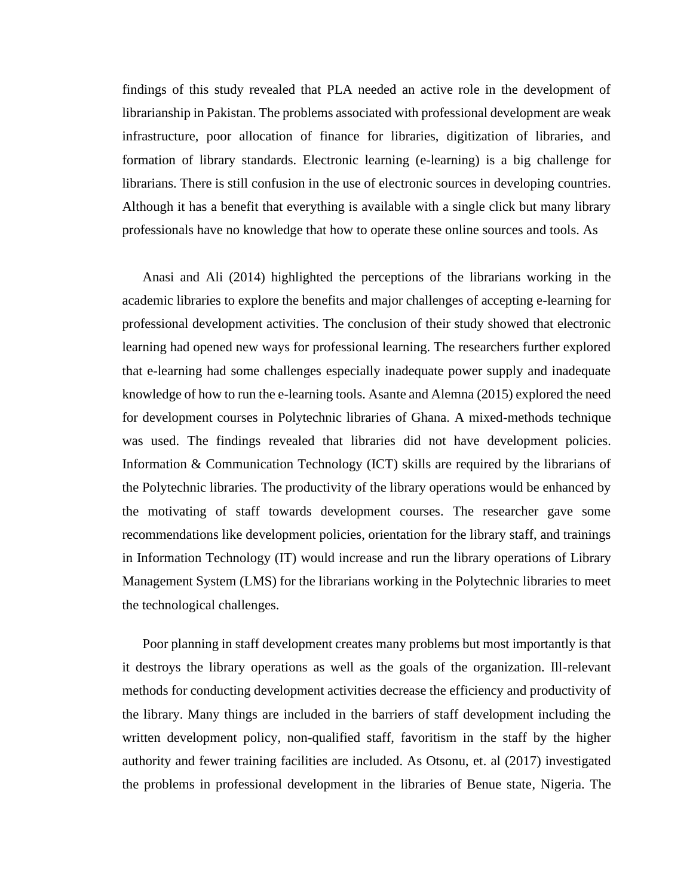findings of this study revealed that PLA needed an active role in the development of librarianship in Pakistan. The problems associated with professional development are weak infrastructure, poor allocation of finance for libraries, digitization of libraries, and formation of library standards. Electronic learning (e-learning) is a big challenge for librarians. There is still confusion in the use of electronic sources in developing countries. Although it has a benefit that everything is available with a single click but many library professionals have no knowledge that how to operate these online sources and tools. As

Anasi and Ali (2014) highlighted the perceptions of the librarians working in the academic libraries to explore the benefits and major challenges of accepting e-learning for professional development activities. The conclusion of their study showed that electronic learning had opened new ways for professional learning. The researchers further explored that e-learning had some challenges especially inadequate power supply and inadequate knowledge of how to run the e-learning tools. Asante and Alemna (2015) explored the need for development courses in Polytechnic libraries of Ghana. A mixed-methods technique was used. The findings revealed that libraries did not have development policies. Information & Communication Technology (ICT) skills are required by the librarians of the Polytechnic libraries. The productivity of the library operations would be enhanced by the motivating of staff towards development courses. The researcher gave some recommendations like development policies, orientation for the library staff, and trainings in Information Technology (IT) would increase and run the library operations of Library Management System (LMS) for the librarians working in the Polytechnic libraries to meet the technological challenges.

Poor planning in staff development creates many problems but most importantly is that it destroys the library operations as well as the goals of the organization. Ill-relevant methods for conducting development activities decrease the efficiency and productivity of the library. Many things are included in the barriers of staff development including the written development policy, non-qualified staff, favoritism in the staff by the higher authority and fewer training facilities are included. As Otsonu, et. al (2017) investigated the problems in professional development in the libraries of Benue state, Nigeria. The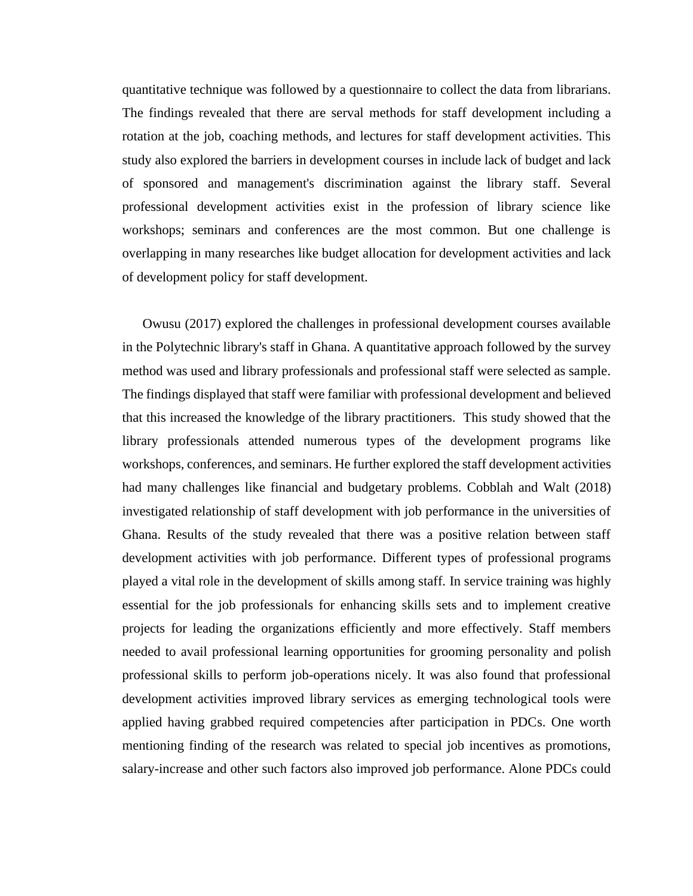quantitative technique was followed by a questionnaire to collect the data from librarians. The findings revealed that there are serval methods for staff development including a rotation at the job, coaching methods, and lectures for staff development activities. This study also explored the barriers in development courses in include lack of budget and lack of sponsored and management's discrimination against the library staff. Several professional development activities exist in the profession of library science like workshops; seminars and conferences are the most common. But one challenge is overlapping in many researches like budget allocation for development activities and lack of development policy for staff development.

Owusu (2017) explored the challenges in professional development courses available in the Polytechnic library's staff in Ghana. A quantitative approach followed by the survey method was used and library professionals and professional staff were selected as sample. The findings displayed that staff were familiar with professional development and believed that this increased the knowledge of the library practitioners. This study showed that the library professionals attended numerous types of the development programs like workshops, conferences, and seminars. He further explored the staff development activities had many challenges like financial and budgetary problems. Cobblah and Walt (2018) investigated relationship of staff development with job performance in the universities of Ghana. Results of the study revealed that there was a positive relation between staff development activities with job performance. Different types of professional programs played a vital role in the development of skills among staff. In service training was highly essential for the job professionals for enhancing skills sets and to implement creative projects for leading the organizations efficiently and more effectively. Staff members needed to avail professional learning opportunities for grooming personality and polish professional skills to perform job-operations nicely. It was also found that professional development activities improved library services as emerging technological tools were applied having grabbed required competencies after participation in PDCs. One worth mentioning finding of the research was related to special job incentives as promotions, salary-increase and other such factors also improved job performance. Alone PDCs could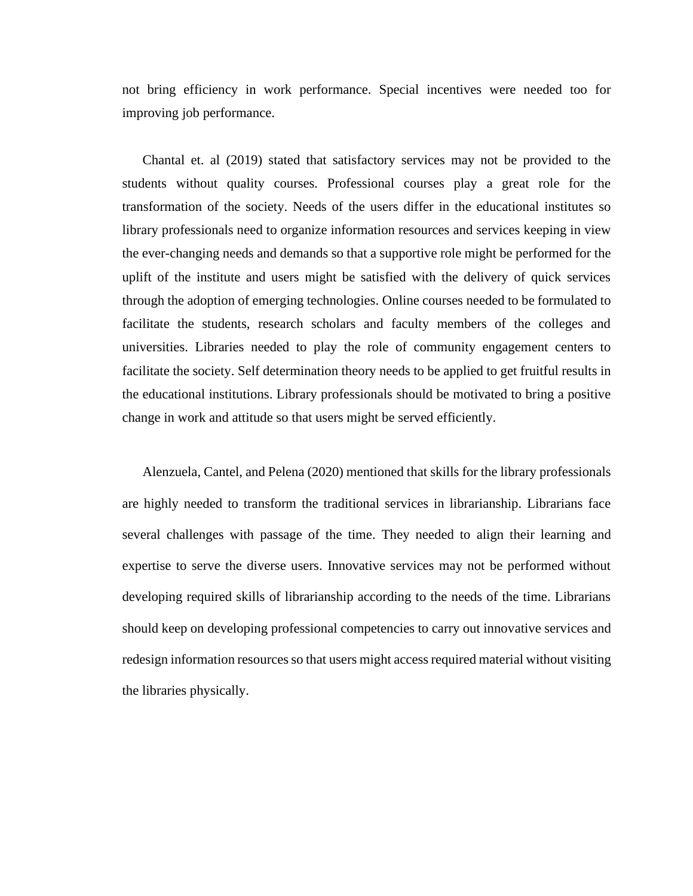not bring efficiency in work performance. Special incentives were needed too for improving job performance.

Chantal et. al (2019) stated that satisfactory services may not be provided to the students without quality courses. Professional courses play a great role for the transformation of the society. Needs of the users differ in the educational institutes so library professionals need to organize information resources and services keeping in view the ever-changing needs and demands so that a supportive role might be performed for the uplift of the institute and users might be satisfied with the delivery of quick services through the adoption of emerging technologies. Online courses needed to be formulated to facilitate the students, research scholars and faculty members of the colleges and universities. Libraries needed to play the role of community engagement centers to facilitate the society. Self determination theory needs to be applied to get fruitful results in the educational institutions. Library professionals should be motivated to bring a positive change in work and attitude so that users might be served efficiently.

Alenzuela, Cantel, and Pelena (2020) mentioned that skills for the library professionals are highly needed to transform the traditional services in librarianship. Librarians face several challenges with passage of the time. They needed to align their learning and expertise to serve the diverse users. Innovative services may not be performed without developing required skills of librarianship according to the needs of the time. Librarians should keep on developing professional competencies to carry out innovative services and redesign information resources so that users might access required material without visiting the libraries physically.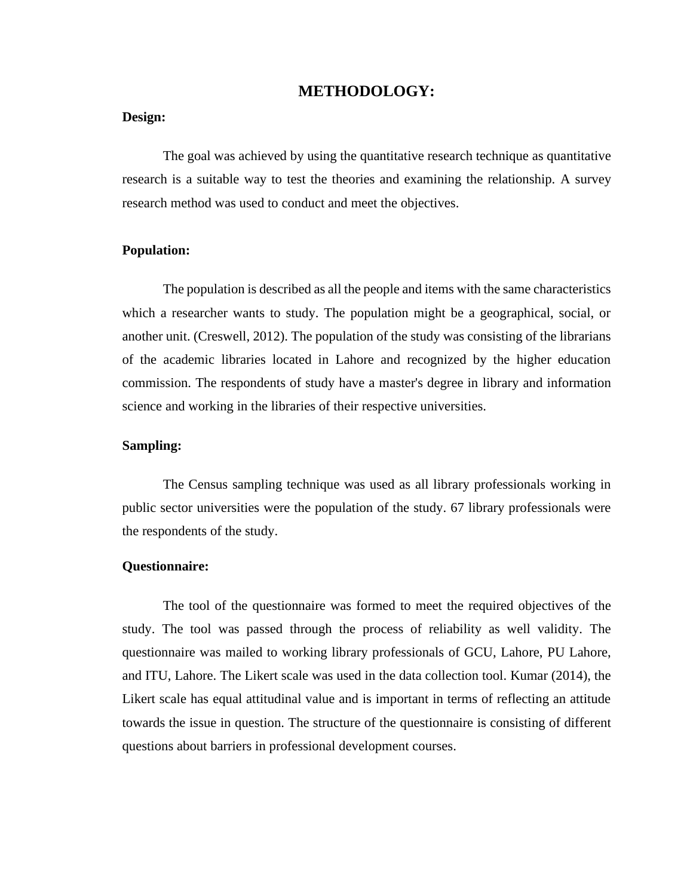#### **METHODOLOGY:**

#### **Design:**

The goal was achieved by using the quantitative research technique as quantitative research is a suitable way to test the theories and examining the relationship. A survey research method was used to conduct and meet the objectives.

#### **Population:**

The population is described as all the people and items with the same characteristics which a researcher wants to study. The population might be a geographical, social, or another unit. (Creswell, 2012). The population of the study was consisting of the librarians of the academic libraries located in Lahore and recognized by the higher education commission. The respondents of study have a master's degree in library and information science and working in the libraries of their respective universities.

#### **Sampling:**

The Census sampling technique was used as all library professionals working in public sector universities were the population of the study. 67 library professionals were the respondents of the study.

#### **Questionnaire:**

The tool of the questionnaire was formed to meet the required objectives of the study. The tool was passed through the process of reliability as well validity. The questionnaire was mailed to working library professionals of GCU, Lahore, PU Lahore, and ITU, Lahore. The Likert scale was used in the data collection tool. Kumar (2014), the Likert scale has equal attitudinal value and is important in terms of reflecting an attitude towards the issue in question. The structure of the questionnaire is consisting of different questions about barriers in professional development courses.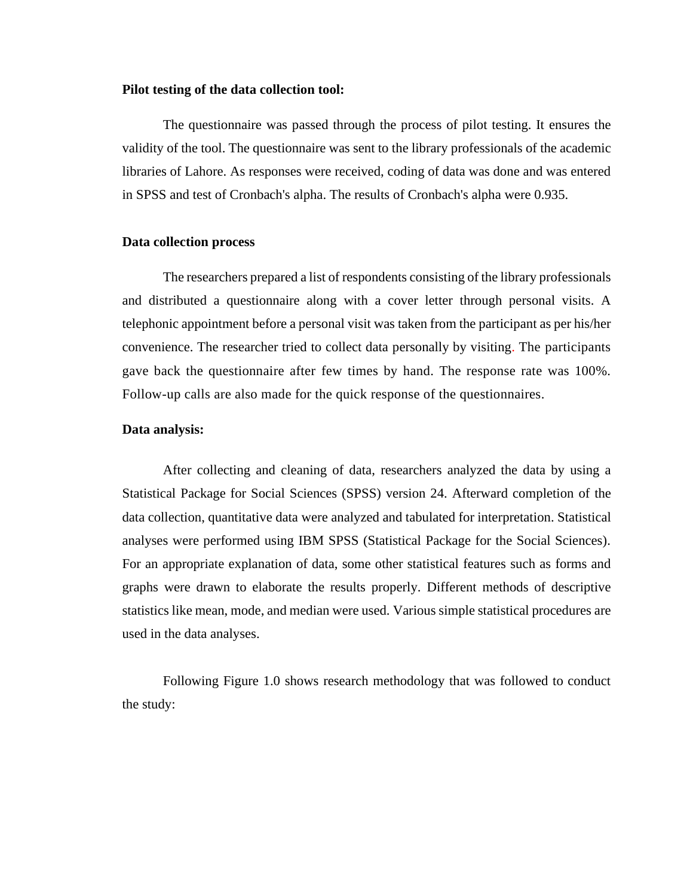#### **Pilot testing of the data collection tool:**

The questionnaire was passed through the process of pilot testing. It ensures the validity of the tool. The questionnaire was sent to the library professionals of the academic libraries of Lahore. As responses were received, coding of data was done and was entered in SPSS and test of Cronbach's alpha. The results of Cronbach's alpha were 0.935.

#### **Data collection process**

The researchers prepared a list of respondents consisting of the library professionals and distributed a questionnaire along with a cover letter through personal visits. A telephonic appointment before a personal visit was taken from the participant as per his/her convenience. The researcher tried to collect data personally by visiting. The participants gave back the questionnaire after few times by hand. The response rate was 100%. Follow-up calls are also made for the quick response of the questionnaires.

#### **Data analysis:**

After collecting and cleaning of data, researchers analyzed the data by using a Statistical Package for Social Sciences (SPSS) version 24. Afterward completion of the data collection, quantitative data were analyzed and tabulated for interpretation. Statistical analyses were performed using IBM SPSS (Statistical Package for the Social Sciences). For an appropriate explanation of data, some other statistical features such as forms and graphs were drawn to elaborate the results properly. Different methods of descriptive statistics like mean, mode, and median were used. Various simple statistical procedures are used in the data analyses.

Following Figure 1.0 shows research methodology that was followed to conduct the study: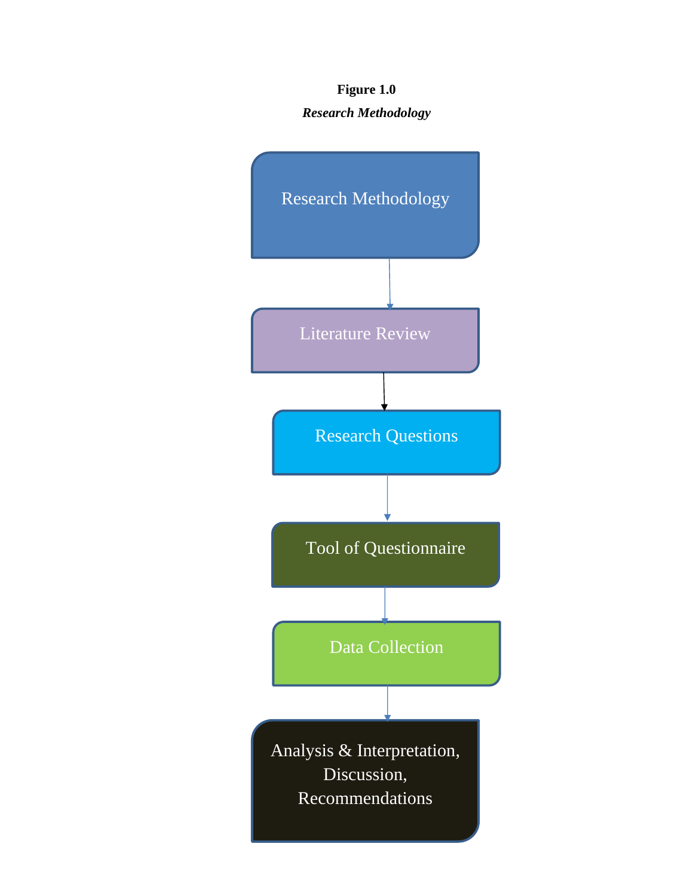## **Figure 1.0** *Research Methodology*

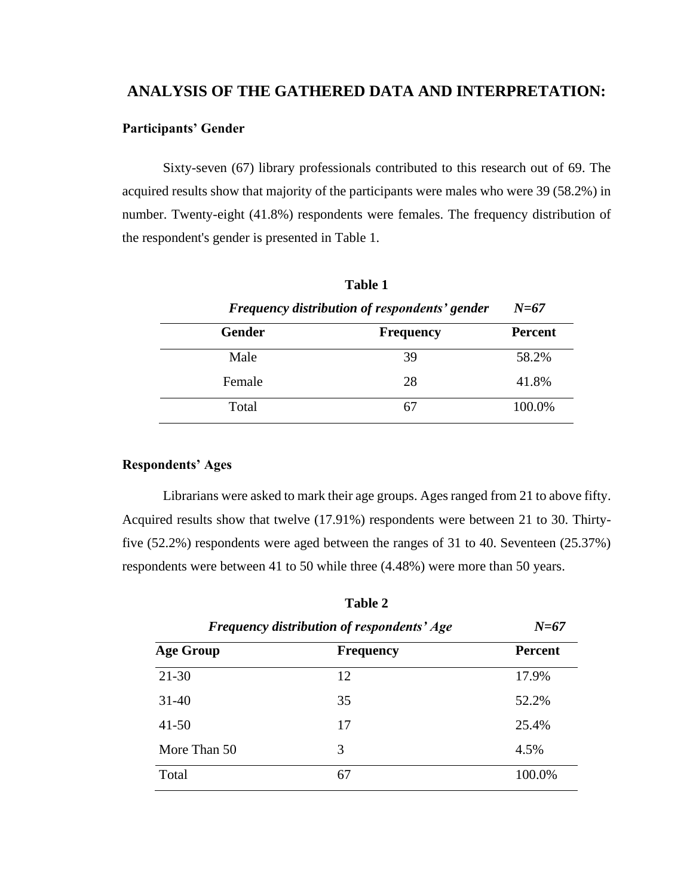### **ANALYSIS OF THE GATHERED DATA AND INTERPRETATION:**

#### **Participants' Gender**

Sixty-seven (67) library professionals contributed to this research out of 69. The acquired results show that majority of the participants were males who were 39 (58.2%) in number. Twenty-eight (41.8%) respondents were females. The frequency distribution of the respondent's gender is presented in Table 1.

| <b>Frequency distribution of respondents' gender</b> |                  | $N=67$         |
|------------------------------------------------------|------------------|----------------|
| <b>Gender</b>                                        | <b>Frequency</b> | <b>Percent</b> |
| Male                                                 | 39               | 58.2%          |
| Female                                               | 28               | 41.8%          |
| Total                                                |                  | 100.0%         |

**Table 1**

#### **Respondents' Ages**

Librarians were asked to mark their age groups. Ages ranged from 21 to above fifty. Acquired results show that twelve (17.91%) respondents were between 21 to 30. Thirtyfive (52.2%) respondents were aged between the ranges of 31 to 40. Seventeen (25.37%) respondents were between 41 to 50 while three (4.48%) were more than 50 years.

| <b>Frequency distribution of respondents' Age</b> |                  | $N=67$         |  |
|---------------------------------------------------|------------------|----------------|--|
| <b>Age Group</b>                                  | <b>Frequency</b> | <b>Percent</b> |  |
| $21 - 30$                                         | 12               | 17.9%          |  |
| 31-40                                             | 35               | 52.2%          |  |
| $41 - 50$                                         | 17               | 25.4%          |  |
| More Than 50                                      | 3                | 4.5%           |  |
| Total                                             | 67               | 100.0%         |  |

**Table 2**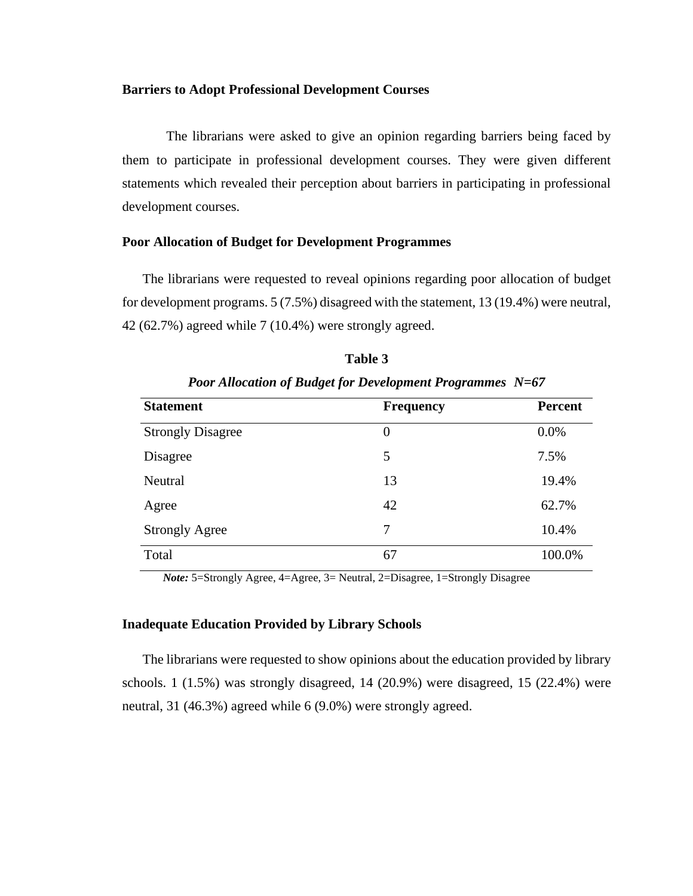#### **Barriers to Adopt Professional Development Courses**

The librarians were asked to give an opinion regarding barriers being faced by them to participate in professional development courses. They were given different statements which revealed their perception about barriers in participating in professional development courses.

#### **Poor Allocation of Budget for Development Programmes**

 The librarians were requested to reveal opinions regarding poor allocation of budget for development programs. 5 (7.5%) disagreed with the statement, 13 (19.4%) were neutral, 42 (62.7%) agreed while 7 (10.4%) were strongly agreed.

| <b>Statement</b>         | <b>Frequency</b> | <b>Percent</b> |
|--------------------------|------------------|----------------|
| <b>Strongly Disagree</b> | $\boldsymbol{0}$ | 0.0%           |
| Disagree                 | 5                | 7.5%           |
| Neutral                  | 13               | 19.4%          |
| Agree                    | 42               | 62.7%          |
| <b>Strongly Agree</b>    | 7                | 10.4%          |
| Total                    | 67               | 100.0%         |

*Poor Allocation of Budget for Development Programmes N=67*

**Table 3**

*Note:* 5=Strongly Agree, 4=Agree, 3= Neutral, 2=Disagree, 1=Strongly Disagree

#### **Inadequate Education Provided by Library Schools**

 The librarians were requested to show opinions about the education provided by library schools. 1 (1.5%) was strongly disagreed, 14 (20.9%) were disagreed, 15 (22.4%) were neutral, 31 (46.3%) agreed while 6 (9.0%) were strongly agreed.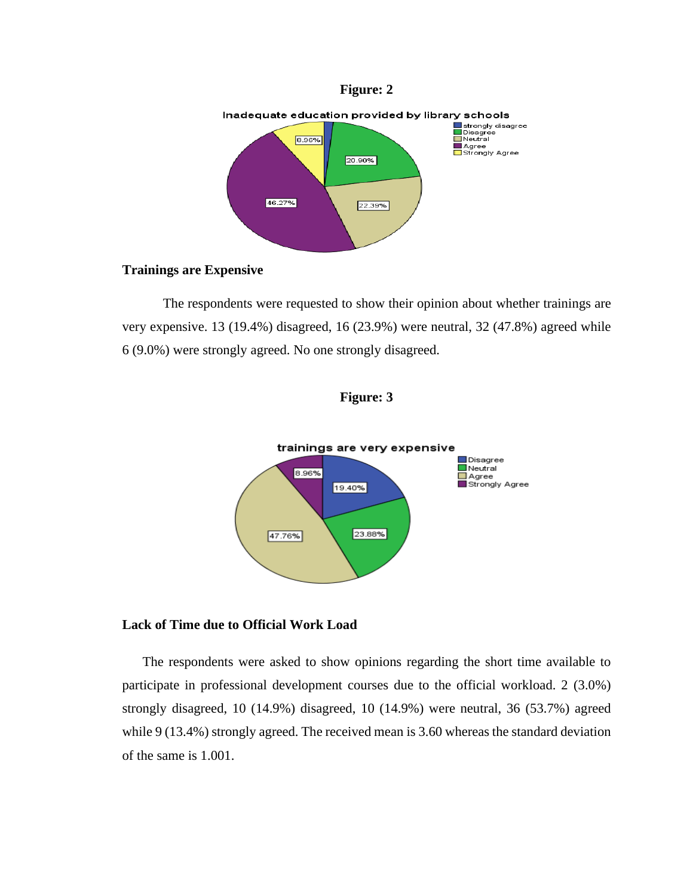



#### **Trainings are Expensive**

The respondents were requested to show their opinion about whether trainings are very expensive. 13 (19.4%) disagreed, 16 (23.9%) were neutral, 32 (47.8%) agreed while 6 (9.0%) were strongly agreed. No one strongly disagreed.





#### **Lack of Time due to Official Work Load**

 The respondents were asked to show opinions regarding the short time available to participate in professional development courses due to the official workload. 2 (3.0%) strongly disagreed, 10 (14.9%) disagreed, 10 (14.9%) were neutral, 36 (53.7%) agreed while 9 (13.4%) strongly agreed. The received mean is 3.60 whereas the standard deviation of the same is 1.001.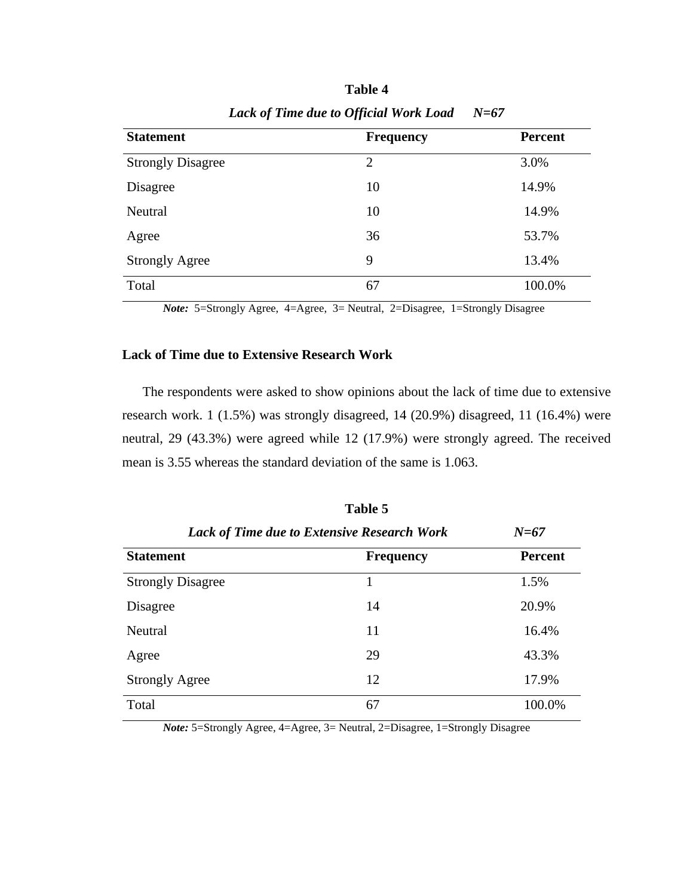| <b>Statement</b>         | <b>Frequency</b> | <b>Percent</b> |
|--------------------------|------------------|----------------|
| <b>Strongly Disagree</b> | 2                | 3.0%           |
| Disagree                 | 10               | 14.9%          |
| Neutral                  | 10               | 14.9%          |
| Agree                    | 36               | 53.7%          |
| <b>Strongly Agree</b>    | 9                | 13.4%          |
| Total                    | 67               | 100.0%         |

**Table 4** *Lack of Time due to Official Work Load N=67*

*Note:* 5=Strongly Agree, 4=Agree, 3= Neutral, 2=Disagree, 1=Strongly Disagree

#### **Lack of Time due to Extensive Research Work**

 The respondents were asked to show opinions about the lack of time due to extensive research work. 1 (1.5%) was strongly disagreed, 14 (20.9%) disagreed, 11 (16.4%) were neutral, 29 (43.3%) were agreed while 12 (17.9%) were strongly agreed. The received mean is 3.55 whereas the standard deviation of the same is 1.063.

| <b>Lack of Time due to Extensive Research Work</b> |                  | $N = 67$       |  |
|----------------------------------------------------|------------------|----------------|--|
| <b>Statement</b>                                   | <b>Frequency</b> | <b>Percent</b> |  |
| <b>Strongly Disagree</b>                           | 1                | 1.5%           |  |
| Disagree                                           | 14               | 20.9%          |  |
| Neutral                                            | 11               | 16.4%          |  |
| Agree                                              | 29               | 43.3%          |  |
| <b>Strongly Agree</b>                              | 12               | 17.9%          |  |
| Total                                              | 67               | 100.0%         |  |

| Table 5                           |  |  |
|-----------------------------------|--|--|
| me due to Extensive Research Worl |  |  |

*Note:* 5=Strongly Agree, 4=Agree, 3= Neutral, 2=Disagree, 1=Strongly Disagree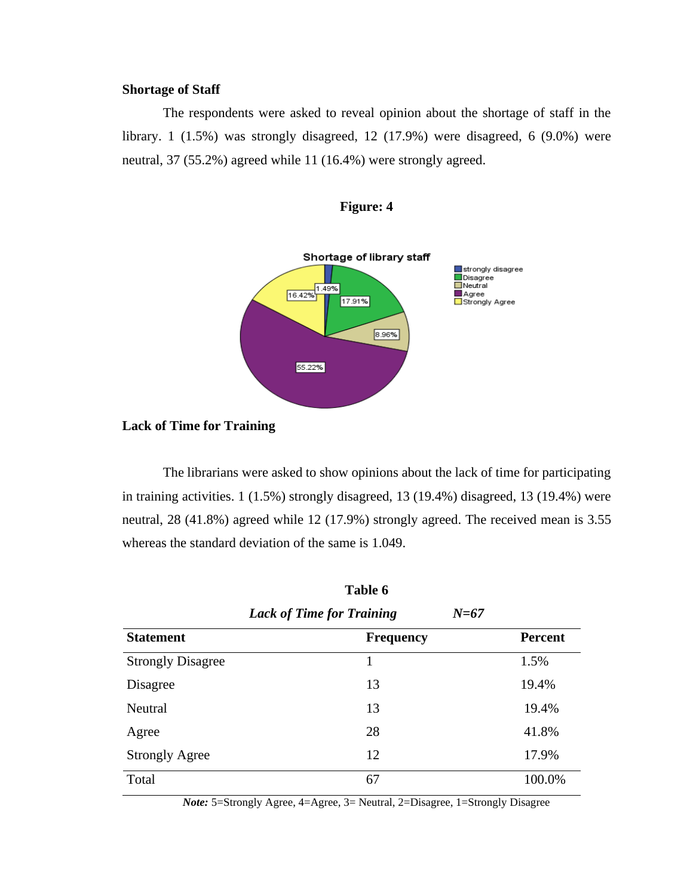### **Shortage of Staff**

The respondents were asked to reveal opinion about the shortage of staff in the library. 1 (1.5%) was strongly disagreed, 12 (17.9%) were disagreed, 6 (9.0%) were neutral, 37 (55.2%) agreed while 11 (16.4%) were strongly agreed.





#### **Lack of Time for Training**

The librarians were asked to show opinions about the lack of time for participating in training activities. 1 (1.5%) strongly disagreed, 13 (19.4%) disagreed, 13 (19.4%) were neutral, 28 (41.8%) agreed while 12 (17.9%) strongly agreed. The received mean is 3.55 whereas the standard deviation of the same is 1.049.

**Table 6**

| <b>Lack of Time for Training</b><br>$N = 67$ |                  |                |  |
|----------------------------------------------|------------------|----------------|--|
| <b>Statement</b>                             | <b>Frequency</b> | <b>Percent</b> |  |
| <b>Strongly Disagree</b>                     |                  | 1.5%           |  |
| Disagree                                     | 13               | 19.4%          |  |
| Neutral                                      | 13               | 19.4%          |  |
| Agree                                        | 28               | 41.8%          |  |
| <b>Strongly Agree</b>                        | 12               | 17.9%          |  |
| Total                                        | 67               | 100.0%         |  |

*Note:* 5=Strongly Agree, 4=Agree, 3= Neutral, 2=Disagree, 1=Strongly Disagree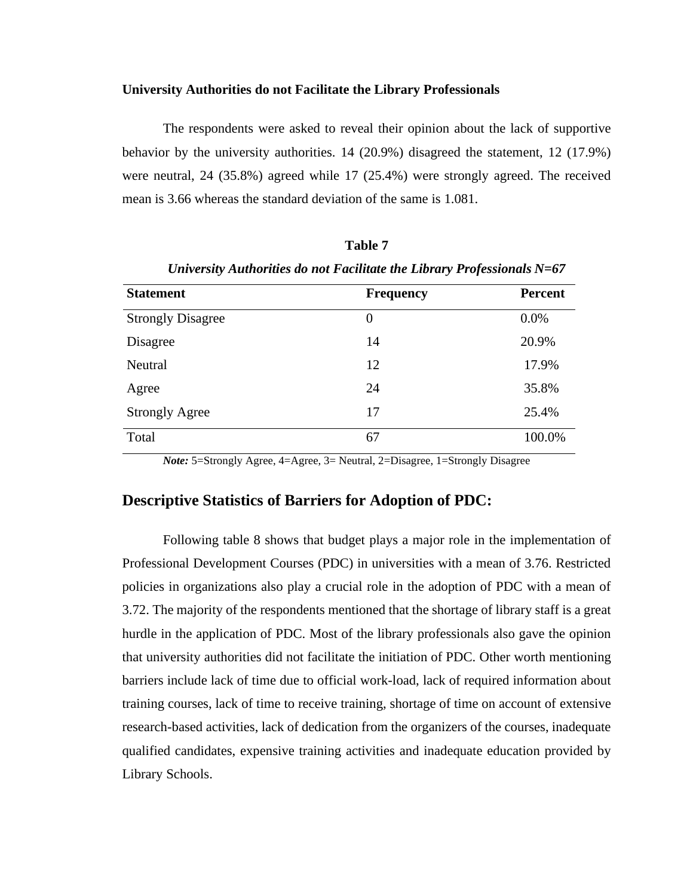#### **University Authorities do not Facilitate the Library Professionals**

The respondents were asked to reveal their opinion about the lack of supportive behavior by the university authorities. 14 (20.9%) disagreed the statement, 12 (17.9%) were neutral, 24 (35.8%) agreed while 17 (25.4%) were strongly agreed. The received mean is 3.66 whereas the standard deviation of the same is 1.081.

| Children and Thursday and the Lucianus and Electure (1905) Contains 19-07 |                  |                |
|---------------------------------------------------------------------------|------------------|----------------|
| <b>Statement</b>                                                          | <b>Frequency</b> | <b>Percent</b> |
| <b>Strongly Disagree</b>                                                  | $\overline{0}$   | 0.0%           |
| Disagree                                                                  | 14               | 20.9%          |
| Neutral                                                                   | 12               | 17.9%          |
| Agree                                                                     | 24               | 35.8%          |
| <b>Strongly Agree</b>                                                     | 17               | 25.4%          |
| Total                                                                     | 67               | 100.0%         |

*University Authorities do not Facilitate the Library Professionals N=67*

**Table 7**

*Note:* 5=Strongly Agree, 4=Agree, 3= Neutral, 2=Disagree, 1=Strongly Disagree

## **Descriptive Statistics of Barriers for Adoption of PDC:**

Following table 8 shows that budget plays a major role in the implementation of Professional Development Courses (PDC) in universities with a mean of 3.76. Restricted policies in organizations also play a crucial role in the adoption of PDC with a mean of 3.72. The majority of the respondents mentioned that the shortage of library staff is a great hurdle in the application of PDC. Most of the library professionals also gave the opinion that university authorities did not facilitate the initiation of PDC. Other worth mentioning barriers include lack of time due to official work-load, lack of required information about training courses, lack of time to receive training, shortage of time on account of extensive research-based activities, lack of dedication from the organizers of the courses, inadequate qualified candidates, expensive training activities and inadequate education provided by Library Schools.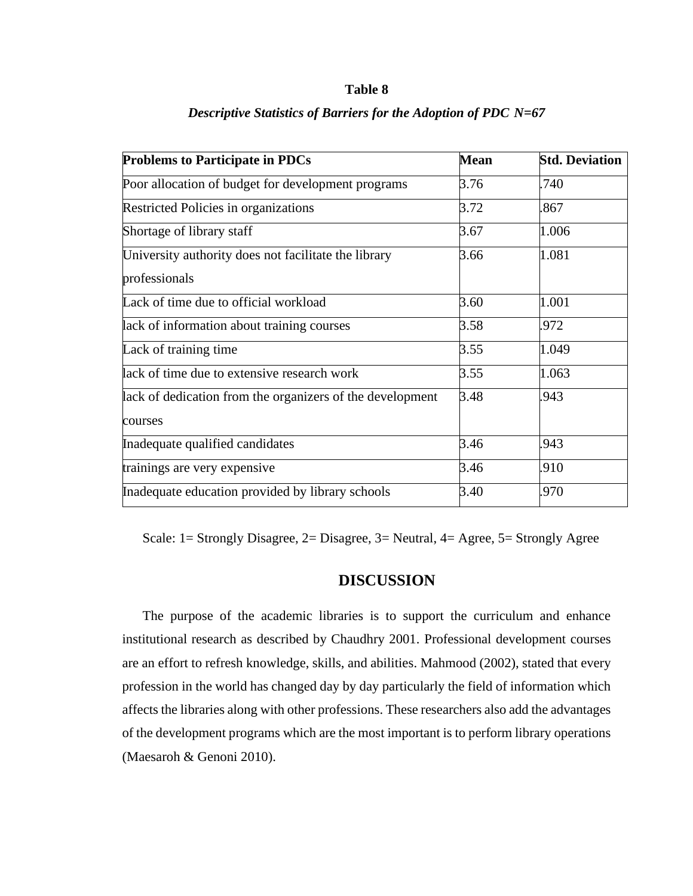#### **Table 8**

| <b>Problems to Participate in PDCs</b>                    | <b>Mean</b> | <b>Std. Deviation</b> |
|-----------------------------------------------------------|-------------|-----------------------|
| Poor allocation of budget for development programs        | 3.76        | .740                  |
| <b>Restricted Policies in organizations</b>               | 3.72        | .867                  |
| Shortage of library staff                                 | 3.67        | 1.006                 |
| University authority does not facilitate the library      | 3.66        | 1.081                 |
| professionals                                             |             |                       |
| Lack of time due to official workload                     | 3.60        | 1.001                 |
| lack of information about training courses                | 3.58        | .972                  |
| Lack of training time                                     | 3.55        | 1.049                 |
| lack of time due to extensive research work               | 3.55        | 1.063                 |
| lack of dedication from the organizers of the development | 3.48        | .943                  |
| courses                                                   |             |                       |
| Inadequate qualified candidates                           | 3.46        | .943                  |
| trainings are very expensive                              | 3.46        | .910                  |
| Inadequate education provided by library schools          | 3.40        | .970                  |

#### *Descriptive Statistics of Barriers for the Adoption of PDC N=67*

Scale: 1= Strongly Disagree, 2= Disagree, 3= Neutral, 4= Agree, 5= Strongly Agree

## **DISCUSSION**

The purpose of the academic libraries is to support the curriculum and enhance institutional research as described by Chaudhry 2001. Professional development courses are an effort to refresh knowledge, skills, and abilities. Mahmood (2002), stated that every profession in the world has changed day by day particularly the field of information which affects the libraries along with other professions. These researchers also add the advantages of the development programs which are the most important is to perform library operations (Maesaroh & Genoni 2010).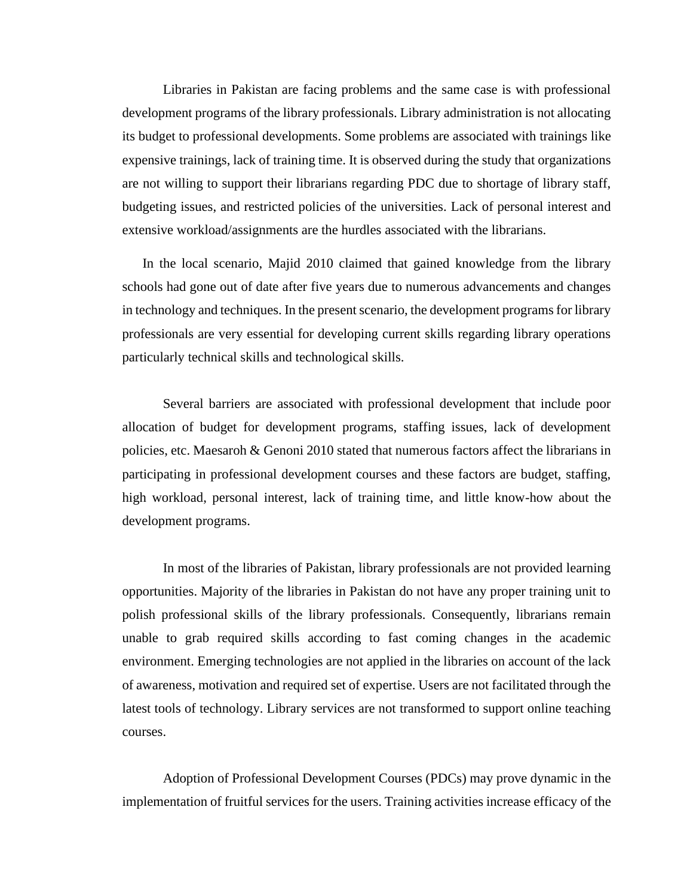Libraries in Pakistan are facing problems and the same case is with professional development programs of the library professionals. Library administration is not allocating its budget to professional developments. Some problems are associated with trainings like expensive trainings, lack of training time. It is observed during the study that organizations are not willing to support their librarians regarding PDC due to shortage of library staff, budgeting issues, and restricted policies of the universities. Lack of personal interest and extensive workload/assignments are the hurdles associated with the librarians.

 In the local scenario, Majid 2010 claimed that gained knowledge from the library schools had gone out of date after five years due to numerous advancements and changes in technology and techniques. In the present scenario, the development programs for library professionals are very essential for developing current skills regarding library operations particularly technical skills and technological skills.

Several barriers are associated with professional development that include poor allocation of budget for development programs, staffing issues, lack of development policies, etc. Maesaroh & Genoni 2010 stated that numerous factors affect the librarians in participating in professional development courses and these factors are budget, staffing, high workload, personal interest, lack of training time, and little know-how about the development programs.

In most of the libraries of Pakistan, library professionals are not provided learning opportunities. Majority of the libraries in Pakistan do not have any proper training unit to polish professional skills of the library professionals. Consequently, librarians remain unable to grab required skills according to fast coming changes in the academic environment. Emerging technologies are not applied in the libraries on account of the lack of awareness, motivation and required set of expertise. Users are not facilitated through the latest tools of technology. Library services are not transformed to support online teaching courses.

Adoption of Professional Development Courses (PDCs) may prove dynamic in the implementation of fruitful services for the users. Training activities increase efficacy of the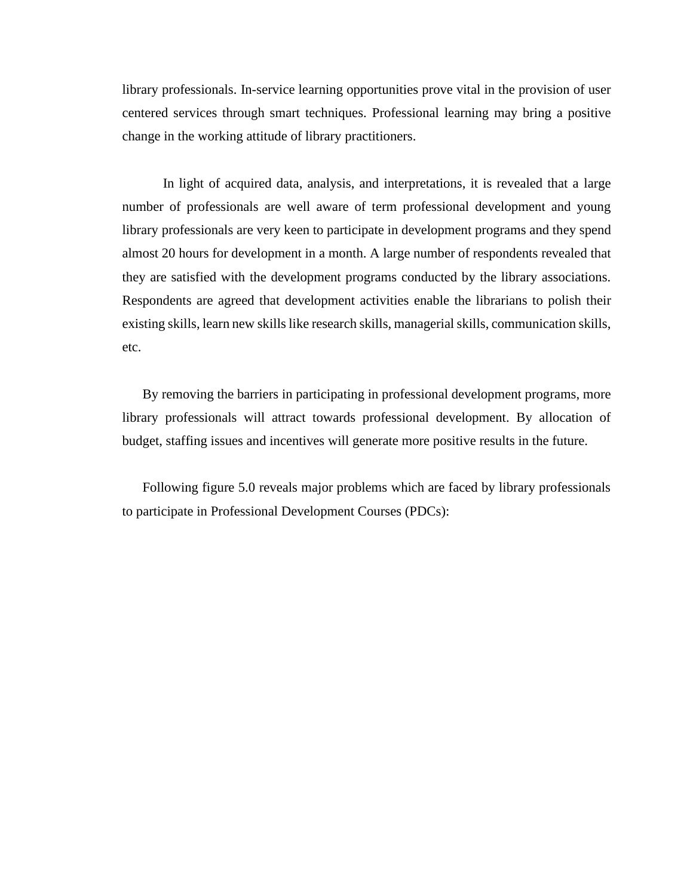library professionals. In-service learning opportunities prove vital in the provision of user centered services through smart techniques. Professional learning may bring a positive change in the working attitude of library practitioners.

In light of acquired data, analysis, and interpretations, it is revealed that a large number of professionals are well aware of term professional development and young library professionals are very keen to participate in development programs and they spend almost 20 hours for development in a month. A large number of respondents revealed that they are satisfied with the development programs conducted by the library associations. Respondents are agreed that development activities enable the librarians to polish their existing skills, learn new skills like research skills, managerial skills, communication skills, etc.

By removing the barriers in participating in professional development programs, more library professionals will attract towards professional development. By allocation of budget, staffing issues and incentives will generate more positive results in the future.

Following figure 5.0 reveals major problems which are faced by library professionals to participate in Professional Development Courses (PDCs):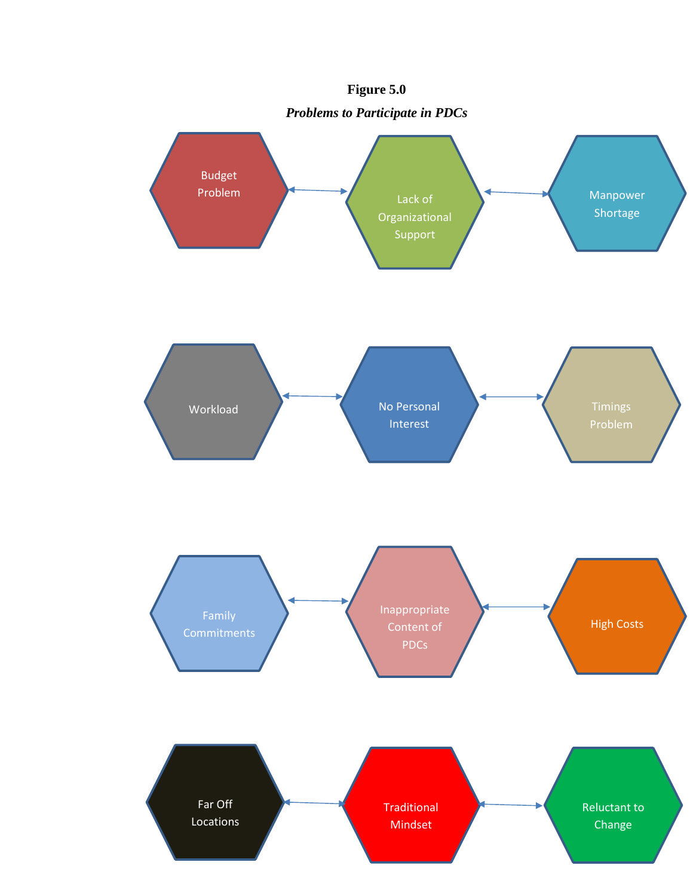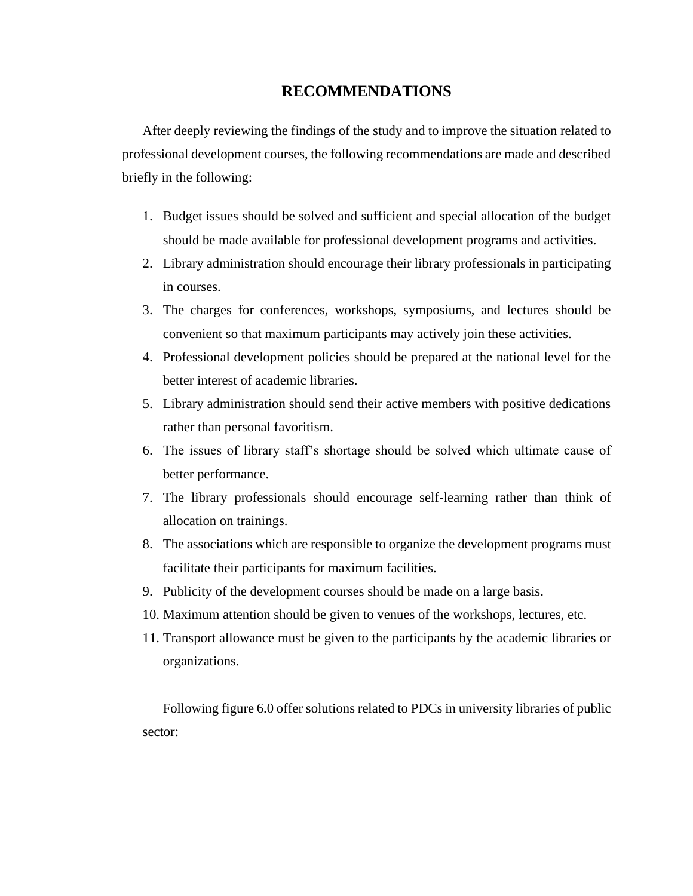## **RECOMMENDATIONS**

After deeply reviewing the findings of the study and to improve the situation related to professional development courses, the following recommendations are made and described briefly in the following:

- 1. Budget issues should be solved and sufficient and special allocation of the budget should be made available for professional development programs and activities.
- 2. Library administration should encourage their library professionals in participating in courses.
- 3. The charges for conferences, workshops, symposiums, and lectures should be convenient so that maximum participants may actively join these activities.
- 4. Professional development policies should be prepared at the national level for the better interest of academic libraries.
- 5. Library administration should send their active members with positive dedications rather than personal favoritism.
- 6. The issues of library staff's shortage should be solved which ultimate cause of better performance.
- 7. The library professionals should encourage self-learning rather than think of allocation on trainings.
- 8. The associations which are responsible to organize the development programs must facilitate their participants for maximum facilities.
- 9. Publicity of the development courses should be made on a large basis.
- 10. Maximum attention should be given to venues of the workshops, lectures, etc.
- 11. Transport allowance must be given to the participants by the academic libraries or organizations.

Following figure 6.0 offer solutions related to PDCs in university libraries of public sector: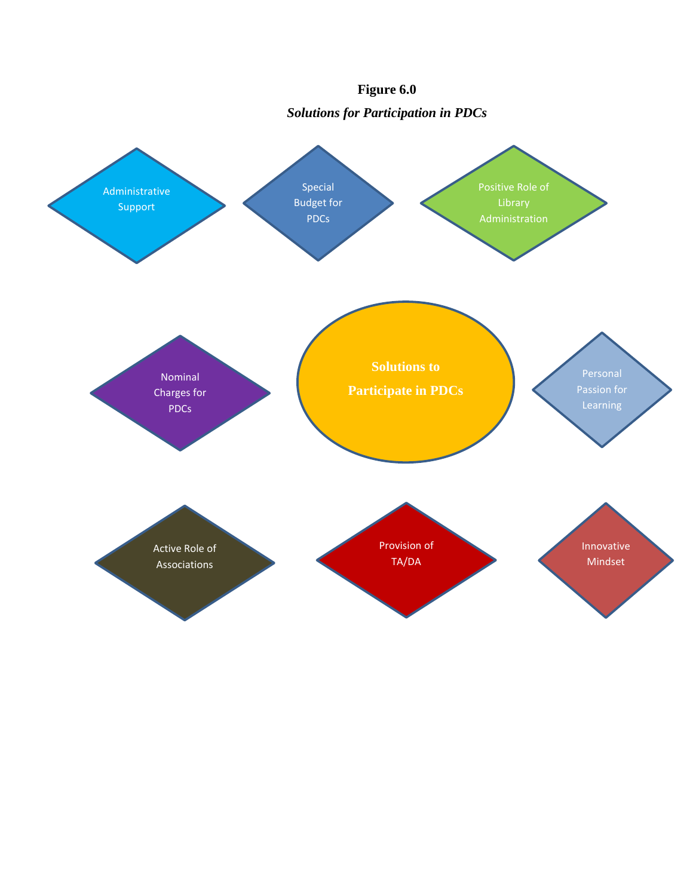

## **Figure 6.0**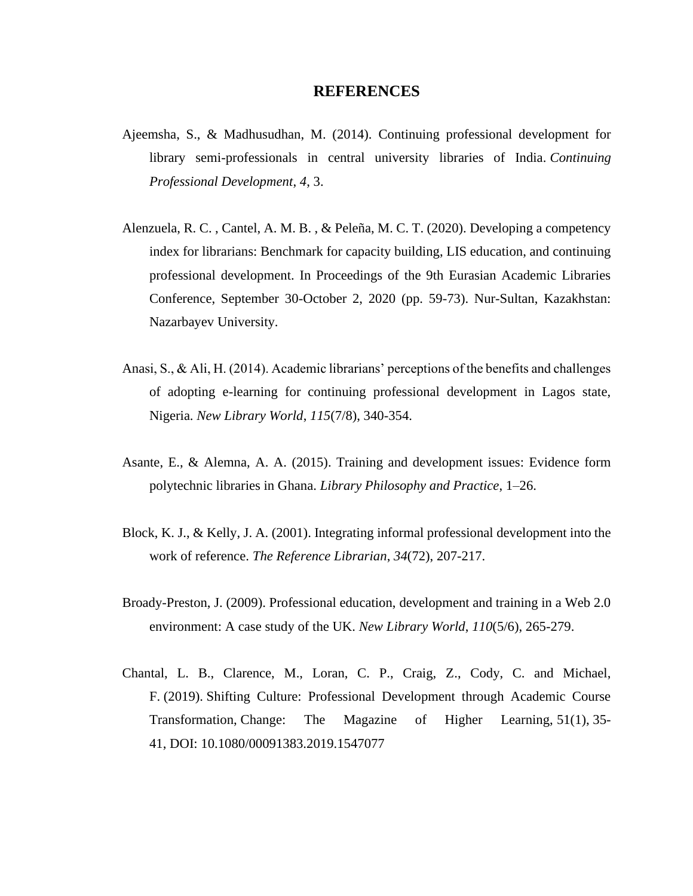#### **REFERENCES**

- Ajeemsha, S., & Madhusudhan, M. (2014). Continuing professional development for library semi-professionals in central university libraries of India. *Continuing Professional Development*, *4*, 3.
- Alenzuela, R. C. , Cantel, A. M. B. , & Peleña, M. C. T. (2020). Developing a competency index for librarians: Benchmark for capacity building, LIS education, and continuing professional development. In Proceedings of the 9th Eurasian Academic Libraries Conference, September 30-October 2, 2020 (pp. 59-73). Nur-Sultan, Kazakhstan: Nazarbayev University.
- Anasi, S., & Ali, H. (2014). Academic librarians' perceptions of the benefits and challenges of adopting e-learning for continuing professional development in Lagos state, Nigeria. *New Library World*, *115*(7/8), 340-354.
- Asante, E., & Alemna, A. A. (2015). Training and development issues: Evidence form polytechnic libraries in Ghana. *Library Philosophy and Practice*, 1–26.
- Block, K. J., & Kelly, J. A. (2001). Integrating informal professional development into the work of reference. *The Reference Librarian*, *34*(72), 207-217.
- Broady-Preston, J. (2009). Professional education, development and training in a Web 2.0 environment: A case study of the UK. *New Library World*, *110*(5/6), 265-279.
- Chantal, L. B., Clarence, M., Loran, C. P., Craig, Z., Cody, C. and Michael, F. (2019). Shifting Culture: Professional Development through Academic Course Transformation, Change: The Magazine of Higher Learning, 51(1), 35- 41, DOI: [10.1080/00091383.2019.1547077](https://doi.org/10.1080/00091383.2019.1547077)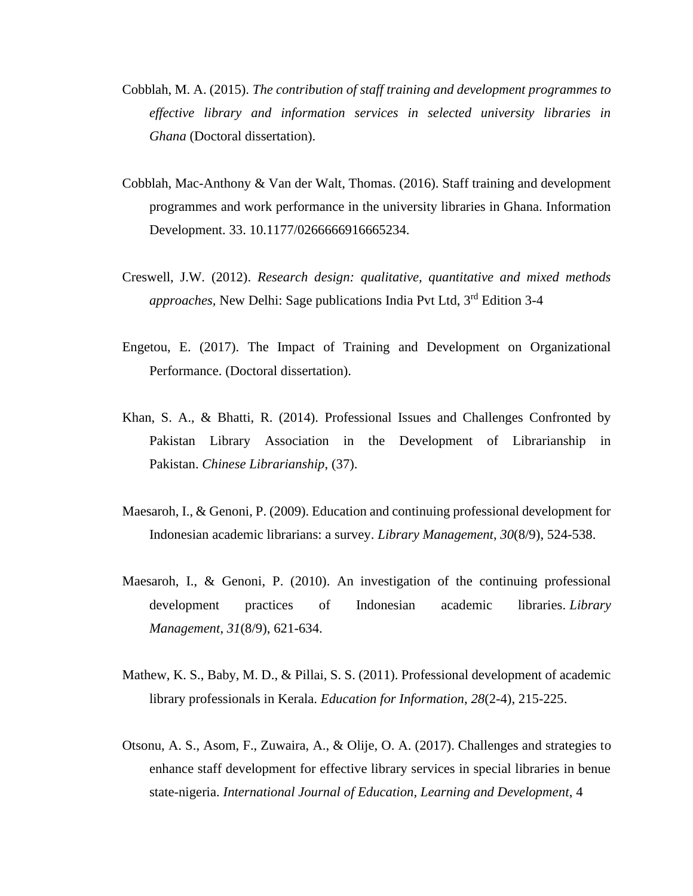- Cobblah, M. A. (2015). *The contribution of staff training and development programmes to effective library and information services in selected university libraries in Ghana* (Doctoral dissertation).
- Cobblah, Mac-Anthony & Van der Walt, Thomas. (2016). Staff training and development programmes and work performance in the university libraries in Ghana. Information Development. 33. 10.1177/0266666916665234.
- Creswell, J.W. (2012). *Research design: qualitative, quantitative and mixed methods approaches,* New Delhi: Sage publications India Pvt Ltd, 3rd Edition 3-4
- Engetou, E. (2017). The Impact of Training and Development on Organizational Performance. (Doctoral dissertation).
- Khan, S. A., & Bhatti, R. (2014). Professional Issues and Challenges Confronted by Pakistan Library Association in the Development of Librarianship in Pakistan. *Chinese Librarianship*, (37).
- Maesaroh, I., & Genoni, P. (2009). Education and continuing professional development for Indonesian academic librarians: a survey. *Library Management*, *30*(8/9), 524-538.
- Maesaroh, I., & Genoni, P. (2010). An investigation of the continuing professional development practices of Indonesian academic libraries. *Library Management*, *31*(8/9), 621-634.
- Mathew, K. S., Baby, M. D., & Pillai, S. S. (2011). Professional development of academic library professionals in Kerala. *Education for Information*, *28*(2-4), 215-225.
- Otsonu, A. S., Asom, F., Zuwaira, A., & Olije, O. A. (2017). Challenges and strategies to enhance staff development for effective library services in special libraries in benue state-nigeria. *International Journal of Education, Learning and Development*, 4